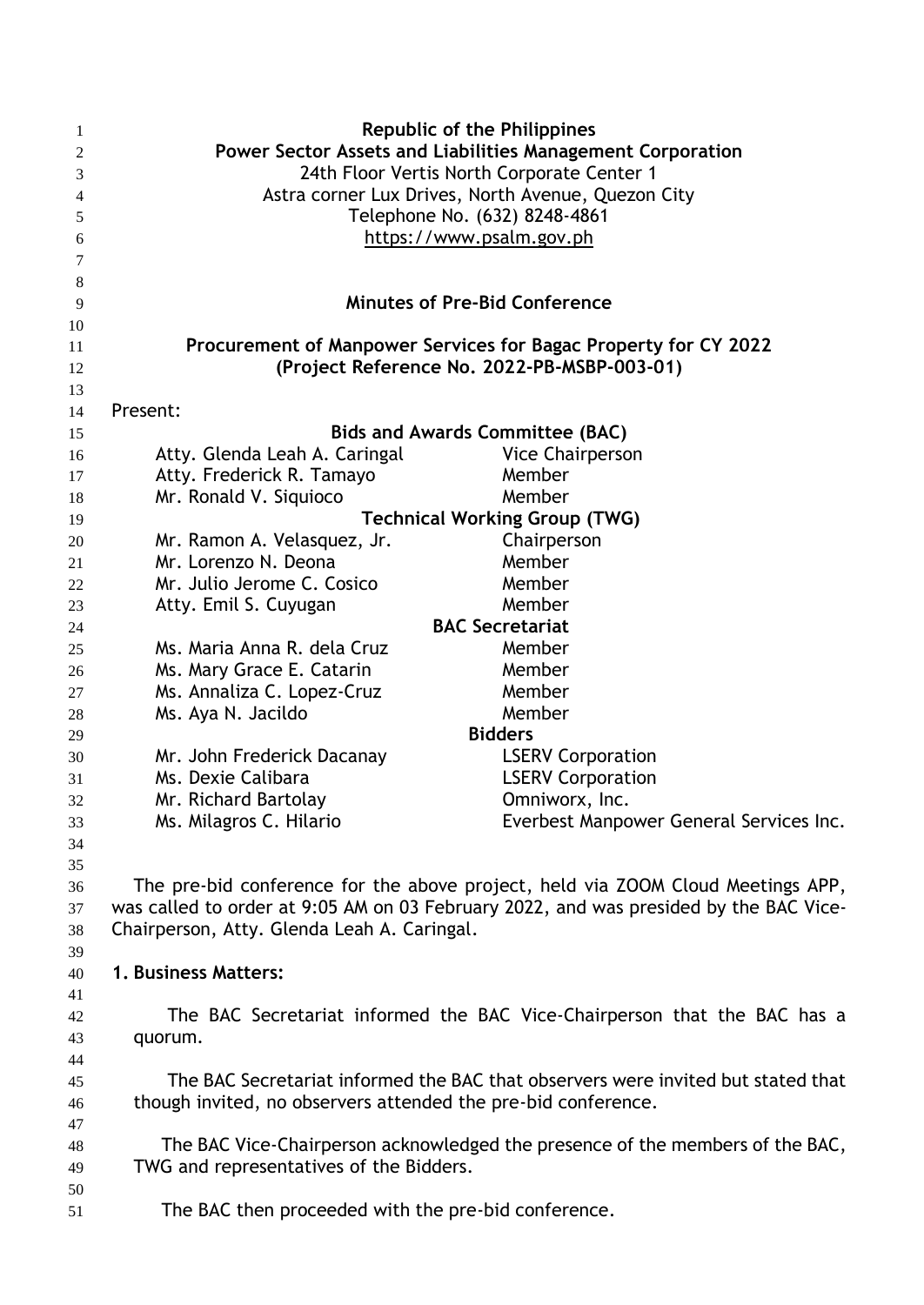| -1             | <b>Republic of the Philippines</b>                                                    |                                                                          |  |
|----------------|---------------------------------------------------------------------------------------|--------------------------------------------------------------------------|--|
| 2              | Power Sector Assets and Liabilities Management Corporation                            |                                                                          |  |
| 3              | 24th Floor Vertis North Corporate Center 1                                            |                                                                          |  |
| $\overline{4}$ | Astra corner Lux Drives, North Avenue, Quezon City                                    |                                                                          |  |
| 5              | Telephone No. (632) 8248-4861                                                         |                                                                          |  |
| 6              |                                                                                       | https://www.psalm.gov.ph                                                 |  |
| 7              |                                                                                       |                                                                          |  |
| 8              |                                                                                       |                                                                          |  |
| 9              |                                                                                       | <b>Minutes of Pre-Bid Conference</b>                                     |  |
| 10             |                                                                                       |                                                                          |  |
| 11             | Procurement of Manpower Services for Bagac Property for CY 2022                       |                                                                          |  |
| 12             | (Project Reference No. 2022-PB-MSBP-003-01)                                           |                                                                          |  |
| 13             |                                                                                       |                                                                          |  |
| 14             | Present:                                                                              |                                                                          |  |
| 15             |                                                                                       | <b>Bids and Awards Committee (BAC)</b>                                   |  |
| 16             | Atty. Glenda Leah A. Caringal                                                         | Vice Chairperson                                                         |  |
| 17             | Atty. Frederick R. Tamayo                                                             | Member                                                                   |  |
| 18             | Mr. Ronald V. Siquioco                                                                | Member                                                                   |  |
| 19             | <b>Technical Working Group (TWG)</b>                                                  |                                                                          |  |
| 20             | Mr. Ramon A. Velasquez, Jr.                                                           | Chairperson                                                              |  |
| 21             | Mr. Lorenzo N. Deona                                                                  | Member                                                                   |  |
| 22             | Mr. Julio Jerome C. Cosico                                                            | Member                                                                   |  |
| 23             | Atty. Emil S. Cuyugan                                                                 | Member                                                                   |  |
| 24             |                                                                                       | <b>BAC Secretariat</b>                                                   |  |
| 25             | Ms. Maria Anna R. dela Cruz                                                           | Member                                                                   |  |
|                |                                                                                       | Member                                                                   |  |
| 26             | Ms. Mary Grace E. Catarin                                                             | Member                                                                   |  |
| 27             | Ms. Annaliza C. Lopez-Cruz                                                            |                                                                          |  |
| 28             | Ms. Aya N. Jacildo                                                                    | Member<br><b>Bidders</b>                                                 |  |
| 29             |                                                                                       |                                                                          |  |
| 30             | Mr. John Frederick Dacanay                                                            | <b>LSERV Corporation</b>                                                 |  |
| 31             | Ms. Dexie Calibara                                                                    | <b>LSERV Corporation</b>                                                 |  |
| 32             | Mr. Richard Bartolay                                                                  | Omniworx, Inc.                                                           |  |
| 33             | Ms. Milagros C. Hilario                                                               | Everbest Manpower General Services Inc.                                  |  |
| 34             |                                                                                       |                                                                          |  |
| 35             |                                                                                       |                                                                          |  |
| 36             | The pre-bid conference for the above project, held via ZOOM Cloud Meetings APP,       |                                                                          |  |
| 37             | was called to order at 9:05 AM on 03 February 2022, and was presided by the BAC Vice- |                                                                          |  |
| 38             | Chairperson, Atty. Glenda Leah A. Caringal.                                           |                                                                          |  |
| 39             |                                                                                       |                                                                          |  |
| 40             | 1. Business Matters:                                                                  |                                                                          |  |
| 41             |                                                                                       |                                                                          |  |
| 42             |                                                                                       | The BAC Secretariat informed the BAC Vice-Chairperson that the BAC has a |  |
| 43             | quorum.                                                                               |                                                                          |  |
| 44             |                                                                                       |                                                                          |  |
| 45             | The BAC Secretariat informed the BAC that observers were invited but stated that      |                                                                          |  |
| 46             | though invited, no observers attended the pre-bid conference.                         |                                                                          |  |
| 47             |                                                                                       |                                                                          |  |
| 48             | The BAC Vice-Chairperson acknowledged the presence of the members of the BAC,         |                                                                          |  |
| 49             | TWG and representatives of the Bidders.                                               |                                                                          |  |
| 50             |                                                                                       |                                                                          |  |
| 51             | The BAC then proceeded with the pre-bid conference.                                   |                                                                          |  |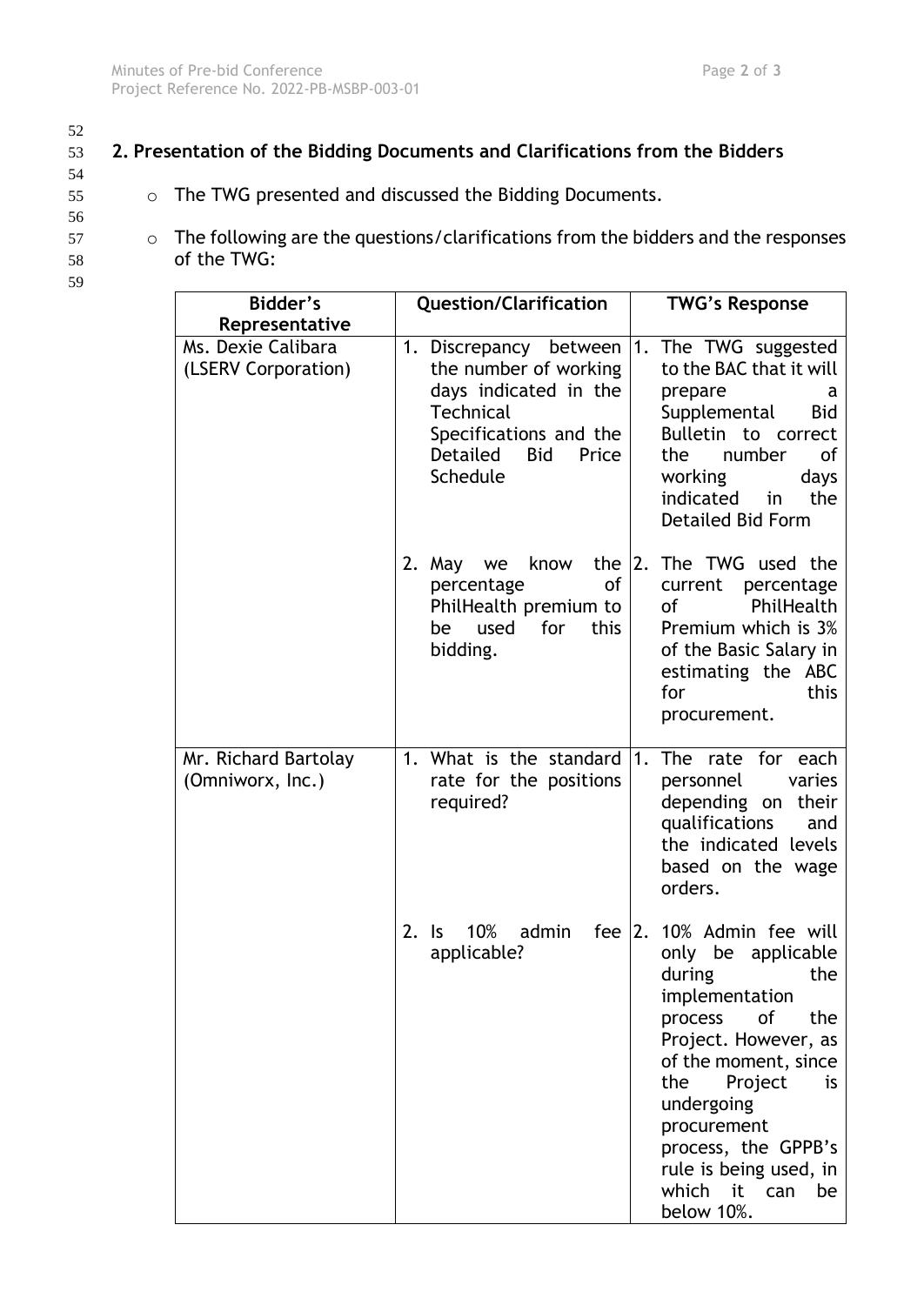## 53 **2. Presentation of the Bidding Documents and Clarifications from the Bidders**

- 55 o The TWG presented and discussed the Bidding Documents.
- 56

54

- 57 o The following are the questions/clarifications from the bidders and the responses 58 of the TWG:
- 59

| Bidder's<br>Representative                | <b>Question/Clarification</b>                                                                                                                                         | <b>TWG's Response</b>                                                                                                                                                                                                                                                                         |
|-------------------------------------------|-----------------------------------------------------------------------------------------------------------------------------------------------------------------------|-----------------------------------------------------------------------------------------------------------------------------------------------------------------------------------------------------------------------------------------------------------------------------------------------|
| Ms. Dexie Calibara<br>(LSERV Corporation) | 1. Discrepancy between<br>the number of working<br>days indicated in the<br><b>Technical</b><br>Specifications and the<br>Detailed<br><b>Bid</b><br>Price<br>Schedule | 1. The TWG suggested<br>to the BAC that it will<br>prepare<br>a<br>Supplemental<br><b>Bid</b><br>Bulletin to correct<br>number<br>the<br>0f<br>working<br>days<br>indicated<br>in<br>the<br><b>Detailed Bid Form</b>                                                                          |
|                                           | know<br>the<br>2. May we<br>of<br>percentage<br>PhilHealth premium to<br>used<br>for<br>this<br>be<br>bidding.                                                        | The TWG used the<br> 2.<br>current percentage<br>PhilHealth<br>of<br>Premium which is 3%<br>of the Basic Salary in<br>estimating the ABC<br>for<br>this<br>procurement.                                                                                                                       |
| Mr. Richard Bartolay<br>(Omniworx, Inc.)  | 1. What is the standard<br>rate for the positions<br>required?                                                                                                        | The rate for each<br>1.<br>personnel<br>varies<br>depending on their<br>qualifications<br>and<br>the indicated levels<br>based on the wage<br>orders.                                                                                                                                         |
|                                           | fee<br>$2.$ Is<br>10%<br>admin<br>applicable?                                                                                                                         | 2. 10% Admin fee will<br>only be applicable<br>during<br>the<br>implementation<br>process of<br>the<br>Project. However, as<br>of the moment, since<br>the<br>Project<br>is<br>undergoing<br>procurement<br>process, the GPPB's<br>rule is being used, in<br>which it can<br>be<br>below 10%. |